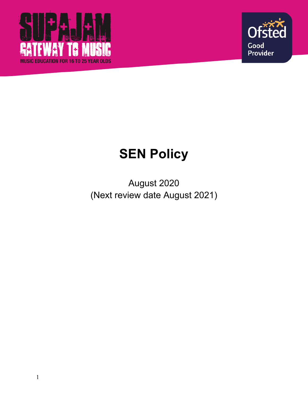



# **SEN Policy**

August 2020 (Next review date August 2021)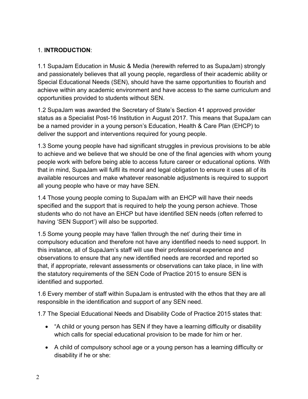#### 1. **INTRODUCTION**:

1.1 SupaJam Education in Music & Media (herewith referred to as SupaJam) strongly and passionately believes that all young people, regardless of their academic ability or Special Educational Needs (SEN), should have the same opportunities to flourish and achieve within any academic environment and have access to the same curriculum and opportunities provided to students without SEN.

1.2 SupaJam was awarded the Secretary of State's Section 41 approved provider status as a Specialist Post-16 Institution in August 2017. This means that SupaJam can be a named provider in a young person's Education, Health & Care Plan (EHCP) to deliver the support and interventions required for young people.

1.3 Some young people have had significant struggles in previous provisions to be able to achieve and we believe that we should be one of the final agencies with whom young people work with before being able to access future career or educational options. With that in mind, SupaJam will fulfil its moral and legal obligation to ensure it uses all of its available resources and make whatever reasonable adjustments is required to support all young people who have or may have SEN.

1.4 Those young people coming to SupaJam with an EHCP will have their needs specified and the support that is required to help the young person achieve. Those students who do not have an EHCP but have identified SEN needs (often referred to having 'SEN Support') will also be supported.

1.5 Some young people may have 'fallen through the net' during their time in compulsory education and therefore not have any identified needs to need support. In this instance, all of SupaJam's staff will use their professional experience and observations to ensure that any new identified needs are recorded and reported so that, if appropriate, relevant assessments or observations can take place, in line with the statutory requirements of the SEN Code of Practice 2015 to ensure SEN is identified and supported.

1.6 Every member of staff within SupaJam is entrusted with the ethos that they are all responsible in the identification and support of any SEN need.

1.7 The Special Educational Needs and Disability Code of Practice 2015 states that:

- "A child or young person has SEN if they have a learning difficulty or disability which calls for special educational provision to be made for him or her.
- A child of compulsory school age or a young person has a learning difficulty or disability if he or she: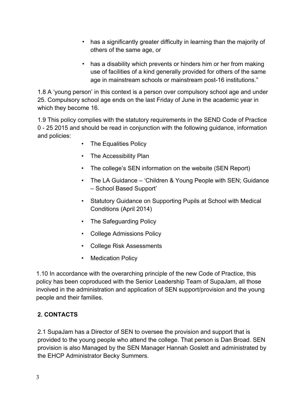- has a significantly greater difficulty in learning than the majority of others of the same age, or
- has a disability which prevents or hinders him or her from making use of facilities of a kind generally provided for others of the same age in mainstream schools or mainstream post-16 institutions."

1.8 A 'young person' in this context is a person over compulsory school age and under 25. Compulsory school age ends on the last Friday of June in the academic year in which they become 16.

1.9 This policy complies with the statutory requirements in the SEND Code of Practice 0 - 25 2015 and should be read in conjunction with the following guidance, information and policies:

- The Equalities Policy
- The Accessibility Plan
- The college's SEN information on the website (SEN Report)
- The LA Guidance 'Children & Young People with SEN; Guidance – School Based Support'
- Statutory Guidance on Supporting Pupils at School with Medical Conditions (April 2014)
- The Safeguarding Policy
- College Admissions Policy
- College Risk Assessments
- Medication Policy

1.10 In accordance with the overarching principle of the new Code of Practice, this policy has been coproduced with the Senior Leadership Team of SupaJam, all those involved in the administration and application of SEN support/provision and the young people and their families.

#### **2. CONTACTS**

2.1 SupaJam has a Director of SEN to oversee the provision and support that is provided to the young people who attend the college. That person is Dan Broad. SEN provision is also Managed by the SEN Manager Hannah Goslett and administrated by the EHCP Administrator Becky Summers.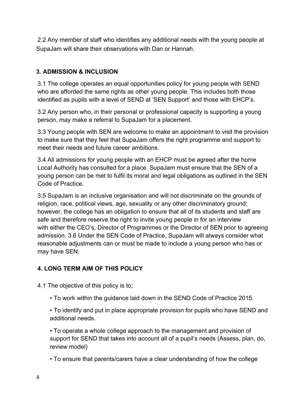2.2 Any member of staff who identifies any additional needs with the young people at SupaJam will share their observations with Dan or Hannah.

#### **3. ADMISSION & INCLUSION**

3.1 The college operates an equal opportunities policy for young people with SEND who are afforded the same rights as other young people. This includes both those identified as pupils with a level of SEND at 'SEN Support' and those with EHCP's.

3.2 Any person who, in their personal or professional capacity is supporting a young person, may make a referral to SupaJam for a placement.

3.3 Young people with SEN are welcome to make an appointment to visit the provision to make sure that they feel that SupaJam offers the right programme and support to meet their needs and future career ambitions.

3.4 All admissions for young people with an EHCP must be agreed after the home Local Authority has consulted for a place. SupaJam must ensure that the SEN of a young person can be met to fulfil its moral and legal obligations as outlined in the SEN Code of Practice.

3.5 SupaJam is an inclusive organisation and will not discriminate on the grounds of religion, race, political views, age, sexuality or any other discriminatory ground; however, the college has an obligation to ensure that all of its students and staff are safe and therefore reserve the right to invite young people in for an interview with either the CEO's, Director of Programmes or the Director of SEN prior to agreeing admission. 3.6 Under the SEN Code of Practice, SupaJam will always consider what reasonable adjustments can or must be made to include a young person who has or may have SEN.

## **4. LONG TERM AIM OF THIS POLICY**

4.1 The objective of this policy is to;

• To work within the guidance laid down in the SEND Code of Practice 2015.

• To identify and put in place appropriate provision for pupils who have SEND and additional needs.

• To operate a whole college approach to the management and provision of support for SEND that takes into account all of a pupil's needs (Assess, plan, do, review model)

• To ensure that parents/carers have a clear understanding of how the college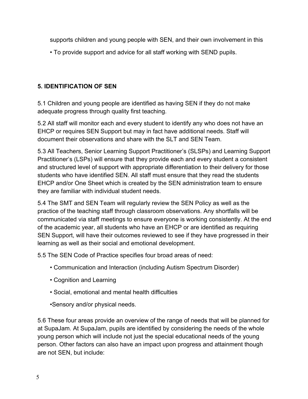supports children and young people with SEN, and their own involvement in this

• To provide support and advice for all staff working with SEND pupils.

## **5. IDENTIFICATION OF SEN**

5.1 Children and young people are identified as having SEN if they do not make adequate progress through quality first teaching.

5.2 All staff will monitor each and every student to identify any who does not have an EHCP or requires SEN Support but may in fact have additional needs. Staff will document their observations and share with the SLT and SEN Team.

5.3 All Teachers, Senior Learning Support Practitioner's (SLSPs) and Learning Support Practitioner's (LSPs) will ensure that they provide each and every student a consistent and structured level of support with appropriate differentiation to their delivery for those students who have identified SEN. All staff must ensure that they read the students EHCP and/or One Sheet which is created by the SEN administration team to ensure they are familiar with individual student needs.

5.4 The SMT and SEN Team will regularly review the SEN Policy as well as the practice of the teaching staff through classroom observations. Any shortfalls will be communicated via staff meetings to ensure everyone is working consistently. At the end of the academic year, all students who have an EHCP or are identified as requiring SEN Support, will have their outcomes reviewed to see if they have progressed in their learning as well as their social and emotional development.

5.5 The SEN Code of Practice specifies four broad areas of need:

- Communication and Interaction (including Autism Spectrum Disorder)
- Cognition and Learning
- Social, emotional and mental health difficulties
- •Sensory and/or physical needs.

5.6 These four areas provide an overview of the range of needs that will be planned for at SupaJam. At SupaJam, pupils are identified by considering the needs of the whole young person which will include not just the special educational needs of the young person. Other factors can also have an impact upon progress and attainment though are not SEN, but include: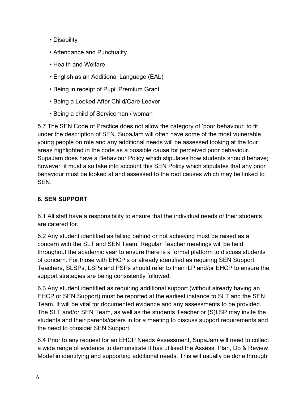- Disability
- Attendance and Punctuality
- Health and Welfare
- English as an Additional Language (EAL)
- Being in receipt of Pupil Premium Grant
- Being a Looked After Child/Care Leaver
- Being a child of Serviceman / woman

5.7 The SEN Code of Practice does not allow the category of 'poor behaviour' to fit under the description of SEN. SupaJam will often have some of the most vulnerable young people on role and any additional needs will be assessed looking at the four areas highlighted in the code as a possible cause for perceived poor behaviour. SupaJam does have a Behaviour Policy which stipulates how students should behave; however, it must also take into account this SEN Policy which stipulates that any poor behaviour must be looked at and assessed to the root causes which may be linked to SEN.

### **6. SEN SUPPORT**

6.1 All staff have a responsibility to ensure that the individual needs of their students are catered for.

6.2 Any student identified as falling behind or not achieving must be raised as a concern with the SLT and SEN Team. Regular Teacher meetings will be held throughout the academic year to ensure there is a formal platform to discuss students of concern. For those with EHCP's or already identified as requiring SEN Support, Teachers, SLSPs, LSPs and PSPs should refer to their ILP and/or EHCP to ensure the support strategies are being consistently followed.

6.3 Any student identified as requiring additional support (without already having an EHCP or SEN Support) must be reported at the earliest instance to SLT and the SEN Team. It will be vital for documented evidence and any assessments to be provided. The SLT and/or SEN Team, as well as the students Teacher or (S)LSP may invite the students and their parents/carers in for a meeting to discuss support requirements and the need to consider SEN Support.

6.4 Prior to any request for an EHCP Needs Assessment, SupaJam will need to collect a wide range of evidence to demonstrate it has utilised the Assess, Plan, Do & Review Model in identifying and supporting additional needs. This will usually be done through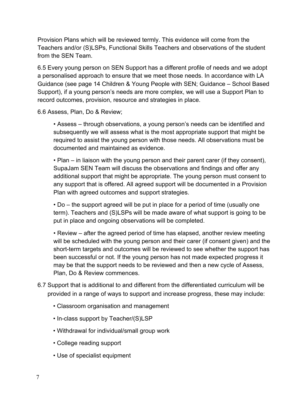Provision Plans which will be reviewed termly. This evidence will come from the Teachers and/or (S)LSPs, Functional Skills Teachers and observations of the student from the SEN Team.

6.5 Every young person on SEN Support has a different profile of needs and we adopt a personalised approach to ensure that we meet those needs. In accordance with LA Guidance (see page 14 Children & Young People with SEN; Guidance – School Based Support), if a young person's needs are more complex, we will use a Support Plan to record outcomes, provision, resource and strategies in place.

6.6 Assess, Plan, Do & Review;

• Assess – through observations, a young person's needs can be identified and subsequently we will assess what is the most appropriate support that might be required to assist the young person with those needs. All observations must be documented and maintained as evidence.

• Plan – in liaison with the young person and their parent carer (if they consent), SupaJam SEN Team will discuss the observations and findings and offer any additional support that might be appropriate. The young person must consent to any support that is offered. All agreed support will be documented in a Provision Plan with agreed outcomes and support strategies.

• Do – the support agreed will be put in place for a period of time (usually one term). Teachers and (S)LSPs will be made aware of what support is going to be put in place and ongoing observations will be completed.

• Review – after the agreed period of time has elapsed, another review meeting will be scheduled with the young person and their carer (if consent given) and the short-term targets and outcomes will be reviewed to see whether the support has been successful or not. If the young person has not made expected progress it may be that the support needs to be reviewed and then a new cycle of Assess, Plan, Do & Review commences.

- 6.7 Support that is additional to and different from the differentiated curriculum will be provided in a range of ways to support and increase progress, these may include:
	- Classroom organisation and management
	- In-class support by Teacher/(S)LSP
	- Withdrawal for individual/small group work
	- College reading support
	- Use of specialist equipment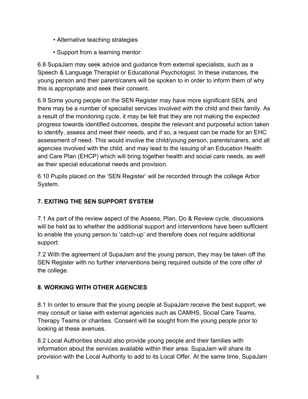- Alternative teaching strategies
- Support from a learning mentor

6.8 SupaJam may seek advice and guidance from external specialists, such as a Speech & Language Therapist or Educational Psychologist. In these instances, the young person and their parent/carers will be spoken to in order to inform them of why this is appropriate and seek their consent.

6.9 Some young people on the SEN Register may have more significant SEN, and there may be a number of specialist services involved with the child and their family. As a result of the monitoring cycle, it may be felt that they are not making the expected progress towards identified outcomes, despite the relevant and purposeful action taken to identify, assess and meet their needs, and if so, a request can be made for an EHC assessment of need. This would involve the child/young person, parents/carers, and all agencies involved with the child, and may lead to the issuing of an Education Health and Care Plan (EHCP) which will bring together health and social care needs, as well as their special educational needs and provision.

6.10 Pupils placed on the 'SEN Register' will be recorded through the college Arbor System.

## **7. EXITING THE SEN SUPPORT SYSTEM**

7.1 As part of the review aspect of the Assess, Plan, Do & Review cycle, discussions will be held as to whether the additional support and interventions have been sufficient to enable the young person to 'catch-up' and therefore does not require additional support.

7.2 With the agreement of SupaJam and the young person, they may be taken off the SEN Register with no further interventions being required outside of the core offer of the college.

#### **8. WORKING WITH OTHER AGENCIES**

8.1 In order to ensure that the young people at SupaJam receive the best support, we may consult or liaise with external agencies such as CAMHS, Social Care Teams, Therapy Teams or charities. Consent will be sought from the young people prior to looking at these avenues.

8.2 Local Authorities should also provide young people and their families with information about the services available within their area. SupaJam will share its provision with the Local Authority to add to its Local Offer. At the same time, SupaJam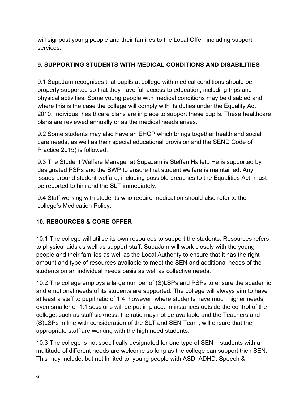will signpost young people and their families to the Local Offer, including support services.

#### **9. SUPPORTING STUDENTS WITH MEDICAL CONDITIONS AND DISABILITIES**

9.1 SupaJam recognises that pupils at college with medical conditions should be properly supported so that they have full access to education, including trips and physical activities. Some young people with medical conditions may be disabled and where this is the case the college will comply with its duties under the Equality Act 2010. Individual healthcare plans are in place to support these pupils. These healthcare plans are reviewed annually or as the medical needs arises.

9.2 Some students may also have an EHCP which brings together health and social care needs, as well as their special educational provision and the SEND Code of Practice 2015) is followed.

9.3 The Student Welfare Manager at SupaJam is Steffan Hallett. He is supported by designated PSPs and the BWP to ensure that student welfare is maintained. Any issues around student welfare, including possible breaches to the Equalities Act, must be reported to him and the SLT immediately.

9.4 Staff working with students who require medication should also refer to the college's Medication Policy.

## **10. RESOURCES & CORE OFFER**

10.1 The college will utilise its own resources to support the students. Resources refers to physical aids as well as support staff. SupaJam will work closely with the young people and their families as well as the Local Authority to ensure that it has the right amount and type of resources available to meet the SEN and additional needs of the students on an individual needs basis as well as collective needs.

10.2 The college employs a large number of (S)LSPs and PSPs to ensure the academic and emotional needs of its students are supported. The college will always aim to have at least a staff to pupil ratio of 1:4; however, where students have much higher needs even smaller or 1:1 sessions will be put in place. In instances outside the control of the college, such as staff sickness, the ratio may not be available and the Teachers and (S)LSPs in line with consideration of the SLT and SEN Team, will ensure that the appropriate staff are working with the high need students.

10.3 The college is not specifically designated for one type of SEN – students with a multitude of different needs are welcome so long as the college can support their SEN. This may include, but not limited to, young people with ASD, ADHD, Speech &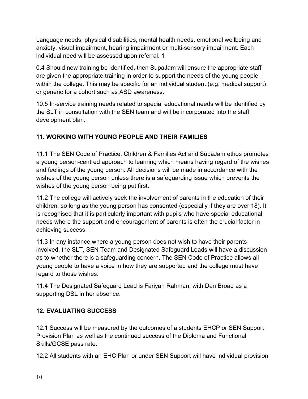Language needs, physical disabilities, mental health needs, emotional wellbeing and anxiety, visual impairment, hearing impairment or multi-sensory impairment. Each individual need will be assessed upon referral. 1

0.4 Should new training be identified, then SupaJam will ensure the appropriate staff are given the appropriate training in order to support the needs of the young people within the college. This may be specific for an individual student (e.g. medical support) or generic for a cohort such as ASD awareness.

10.5 In-service training needs related to special educational needs will be identified by the SLT in consultation with the SEN team and will be incorporated into the staff development plan.

## **11. WORKING WITH YOUNG PEOPLE AND THEIR FAMILIES**

11.1 The SEN Code of Practice, Children & Families Act and SupaJam ethos promotes a young person-centred approach to learning which means having regard of the wishes and feelings of the young person. All decisions will be made in accordance with the wishes of the young person unless there is a safeguarding issue which prevents the wishes of the young person being put first.

11.2 The college will actively seek the involvement of parents in the education of their children, so long as the young person has consented (especially if they are over 18). It is recognised that it is particularly important with pupils who have special educational needs where the support and encouragement of parents is often the crucial factor in achieving success.

11.3 In any instance where a young person does not wish to have their parents involved, the SLT, SEN Team and Designated Safeguard Leads will have a discussion as to whether there is a safeguarding concern. The SEN Code of Practice allows all young people to have a voice in how they are supported and the college must have regard to those wishes.

11.4 The Designated Safeguard Lead is Fariyah Rahman, with Dan Broad as a supporting DSL in her absence.

#### **12. EVALUATING SUCCESS**

12.1 Success will be measured by the outcomes of a students EHCP or SEN Support Provision Plan as well as the continued success of the Diploma and Functional Skills/GCSE pass rate.

12.2 All students with an EHC Plan or under SEN Support will have individual provision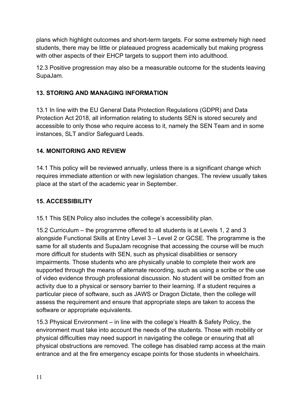plans which highlight outcomes and short-term targets. For some extremely high need students, there may be little or plateaued progress academically but making progress with other aspects of their EHCP targets to support them into adulthood.

12.3 Positive progression may also be a measurable outcome for the students leaving SupaJam.

### **13. STORING AND MANAGING INFORMATION**

13.1 In line with the EU General Data Protection Regulations (GDPR) and Data Protection Act 2018, all information relating to students SEN is stored securely and accessible to only those who require access to it, namely the SEN Team and in some instances, SLT and/or Safeguard Leads.

### **14. MONITORING AND REVIEW**

14.1 This policy will be reviewed annually, unless there is a significant change which requires immediate attention or with new legislation changes. The review usually takes place at the start of the academic year in September.

#### **15. ACCESSIBILITY**

15.1 This SEN Policy also includes the college's accessibility plan.

15.2 Curriculum – the programme offered to all students is at Levels 1, 2 and 3 alongside Functional Skills at Entry Level 3 – Level 2 or GCSE. The programme is the same for all students and SupaJam recognise that accessing the course will be much more difficult for students with SEN, such as physical disabilities or sensory impairments. Those students who are physically unable to complete their work are supported through the means of alternate recording, such as using a scribe or the use of video evidence through professional discussion. No student will be omitted from an activity due to a physical or sensory barrier to their learning. If a student requires a particular piece of software, such as JAWS or Dragon Dictate, then the college will assess the requirement and ensure that appropriate steps are taken to access the software or appropriate equivalents.

15.3 Physical Environment – in line with the college's Health & Safety Policy, the environment must take into account the needs of the students. Those with mobility or physical difficulties may need support in navigating the college or ensuring that all physical obstructions are removed. The college has disabled ramp access at the main entrance and at the fire emergency escape points for those students in wheelchairs.